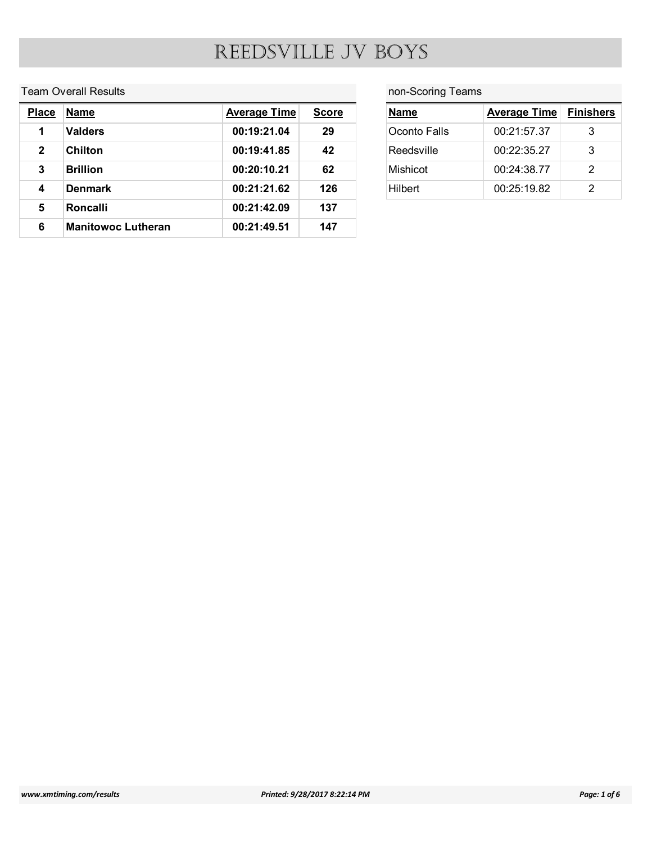#### Team Overall Results

|                         |                             | REEDSVILLE JV BOYS  |              |                   |                     |                       |
|-------------------------|-----------------------------|---------------------|--------------|-------------------|---------------------|-----------------------|
|                         |                             |                     |              |                   |                     |                       |
|                         |                             |                     |              |                   |                     |                       |
|                         | <b>Team Overall Results</b> |                     |              | non-Scoring Teams |                     |                       |
| <b>Place</b>            | <b>Name</b>                 | <b>Average Time</b> | <b>Score</b> | <b>Name</b>       | <b>Average Time</b> |                       |
| $\mathbf 1$             | <b>Valders</b>              | 00:19:21.04         | 29           | Oconto Falls      | 00:21:57.37         | 3                     |
| $2^{\circ}$             | Chilton                     | 00:19:41.85         | 42           | Reedsville        | 00:22:35.27         | <b>Finishers</b><br>3 |
| $\mathbf{3}$            | <b>Brillion</b>             | 00:20:10.21         | 62           | Mishicot          | 00:24:38.77         | $\overline{2}$        |
| $\overline{\mathbf{4}}$ | <b>Denmark</b>              | 00:21:21.62         | 126          | Hilbert           | 00:25:19.82         | $\overline{2}$        |
| $5\phantom{.0}$         | Roncalli                    | 00:21:42.09         | 137          |                   |                     |                       |

#### non-Scoring Teams

| OYS               |                     |                  |
|-------------------|---------------------|------------------|
|                   |                     |                  |
| non-Scoring Teams |                     |                  |
| <b>Name</b>       | <b>Average Time</b> | <b>Finishers</b> |
| Oconto Falls      | 00:21:57.37         | $\mathbf{3}$     |
| Reedsville        | 00:22:35.27         | $\mathfrak{S}$   |
| Mishicot          | 00:24:38.77         | $\overline{2}$   |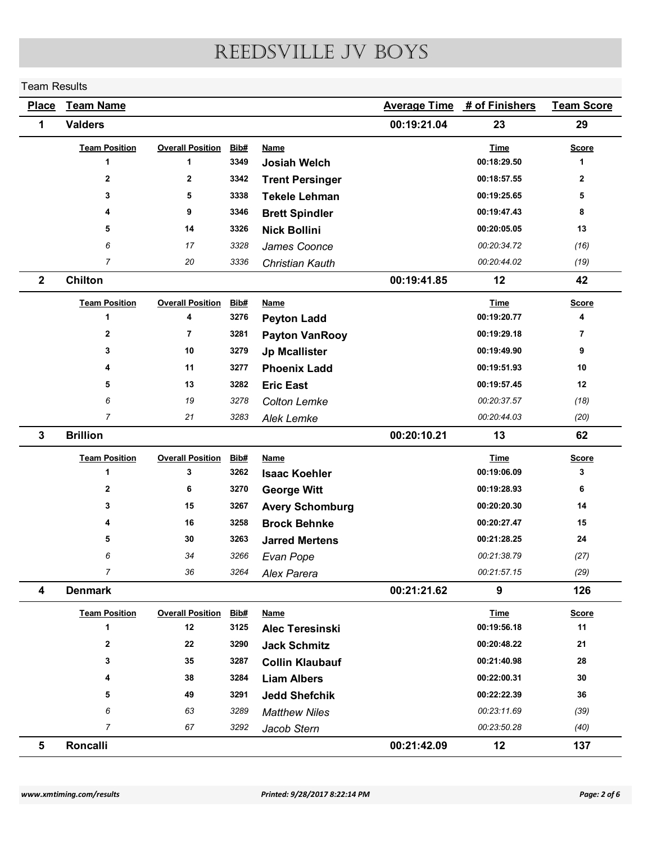#### Team Results

| <b>Team Results</b> |                      |                         |              | REEDSVILLE JV BOYS                           |                     |                            |                   |
|---------------------|----------------------|-------------------------|--------------|----------------------------------------------|---------------------|----------------------------|-------------------|
|                     |                      |                         |              |                                              |                     |                            |                   |
| <b>Place</b>        | <b>Team Name</b>     |                         |              |                                              | <b>Average Time</b> | # of Finishers             | <b>Team Score</b> |
| 1                   | <b>Valders</b>       |                         |              |                                              | 00:19:21.04         | 23                         | 29                |
|                     | <b>Team Position</b> | <b>Overall Position</b> | Bib#         | <b>Name</b>                                  |                     | <b>Time</b>                | <b>Score</b>      |
|                     | -1                   | $\mathbf{1}$            | 3349         | <b>Josiah Welch</b>                          |                     | 00:18:29.50                | $\mathbf 1$       |
|                     | $\mathbf{2}$         | $\overline{2}$          | 3342         | <b>Trent Persinger</b>                       |                     | 00:18:57.55                | $\overline{2}$    |
|                     | 3                    | 5                       | 3338         | <b>Tekele Lehman</b>                         |                     | 00:19:25.65                | 5                 |
|                     | 4<br>5               | 9<br>14                 | 3346<br>3326 | <b>Brett Spindler</b>                        |                     | 00:19:47.43<br>00:20:05.05 | 8<br>13           |
|                     | 6                    | 17                      | 3328         | <b>Nick Bollini</b>                          |                     | 00:20:34.72                | (16)              |
|                     | $\overline{7}$       | 20                      | 3336         | James Coonce<br>Christian Kauth              |                     | 00:20:44.02                | (19)              |
| $\mathbf{2}$        | Chilton              |                         |              |                                              | 00:19:41.85         | 12                         | 42                |
|                     | <b>Team Position</b> | <b>Overall Position</b> | Bib#         | <b>Name</b>                                  |                     | <b>Time</b>                | <b>Score</b>      |
|                     | $\overline{1}$       | 4                       | 3276         | <b>Peyton Ladd</b>                           |                     | 00:19:20.77                | 4                 |
|                     | $\mathbf{2}$         | $\overline{7}$          | 3281         | <b>Payton VanRooy</b>                        |                     | 00:19:29.18                | $\overline{7}$    |
|                     | 3                    | 10                      | 3279         | <b>Jp Mcallister</b>                         |                     | 00:19:49.90                | 9                 |
|                     | 4                    | 11                      | 3277         | <b>Phoenix Ladd</b>                          |                     | 00:19:51.93                | 10                |
|                     | 5                    | 13                      | 3282         | <b>Eric East</b>                             |                     | 00:19:57.45                | 12                |
|                     | 6                    | 19                      | 3278         | <b>Colton Lemke</b>                          |                     | 00:20:37.57                | (18)              |
|                     | $\overline{7}$       | 21                      | 3283         | Alek Lemke                                   |                     | 00:20:44.03                | (20)              |
| 3                   | <b>Brillion</b>      |                         |              |                                              | 00:20:10.21         | 13                         | 62                |
|                     | <b>Team Position</b> | <b>Overall Position</b> | Bib#         | <b>Name</b>                                  |                     | <b>Time</b>                | <b>Score</b>      |
|                     | -1                   | 3                       | 3262         | <b>Isaac Koehler</b>                         |                     | 00:19:06.09                | 3                 |
|                     | $\mathbf{2}$         | 6                       | 3270         | <b>George Witt</b>                           |                     | 00:19:28.93                | 6                 |
|                     | 3                    | 15                      | 3267         | <b>Avery Schomburg</b>                       |                     | 00:20:20.30                | 14                |
|                     |                      | 16                      | 3258         | <b>Brock Behnke</b>                          |                     | 00:20:27.47                | 15                |
|                     | 5                    | 30                      | 3263         | <b>Jarred Mertens</b>                        |                     | 00:21:28.25                | ${\bf 24}$        |
|                     | 6<br>$\overline{7}$  | 34                      | 3266         | Evan Pope                                    |                     | 00:21:38.79                | (27)              |
| 4                   | <b>Denmark</b>       | 36                      | 3264         | Alex Parera                                  | 00:21:21.62         | 00:21:57.15<br>9           | (29)<br>126       |
|                     |                      |                         |              |                                              |                     |                            |                   |
|                     | <b>Team Position</b> | <b>Overall Position</b> | Bib#         | <b>Name</b>                                  |                     | <b>Time</b><br>00:19:56.18 | <b>Score</b>      |
|                     | 1<br>$\mathbf{2}$    | 12<br>22                | 3125<br>3290 | <b>Alec Teresinski</b>                       |                     | 00:20:48.22                | 11<br>21          |
|                     | 3                    | 35                      | 3287         | <b>Jack Schmitz</b>                          |                     | 00:21:40.98                | 28                |
|                     | 4                    | 38                      | 3284         | <b>Collin Klaubauf</b><br><b>Liam Albers</b> |                     | 00:22:00.31                | 30                |
|                     | 5                    | 49                      | 3291         | <b>Jedd Shefchik</b>                         |                     | 00:22:22.39                | 36                |
|                     | 6                    | 63                      | 3289         | <b>Matthew Niles</b>                         |                     | 00:23:11.69                | (39)              |
|                     | $\overline{7}$       | 67                      | 3292         | Jacob Stern                                  |                     | 00:23:50.28                | (40)              |
|                     | Roncalli             |                         |              |                                              | 00:21:42.09         | 12                         | 137               |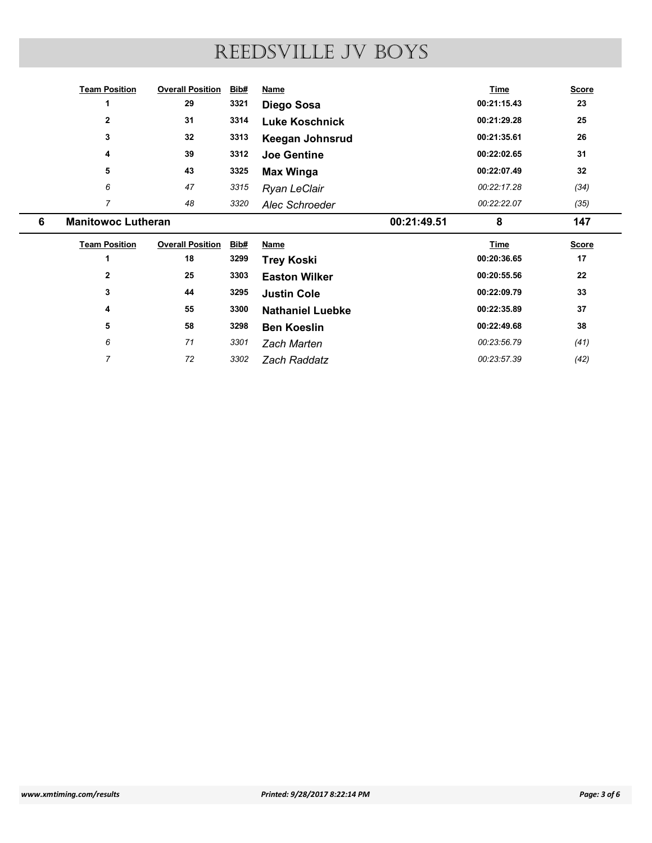|   |                                      |                                    |      | REEDSVILLE JV BOYS      |                            |                    |
|---|--------------------------------------|------------------------------------|------|-------------------------|----------------------------|--------------------|
|   |                                      |                                    |      |                         |                            |                    |
|   |                                      |                                    |      |                         |                            |                    |
|   | <b>Team Position</b><br>$\mathbf{1}$ | <b>Overall Position Bib#</b><br>29 | 3321 | <b>Name</b>             | <b>Time</b><br>00:21:15.43 | <b>Score</b><br>23 |
|   | $\mathbf{2}$                         | 31                                 | 3314 | Diego Sosa              | 00:21:29.28                | 25                 |
|   |                                      | 32                                 | 3313 | <b>Luke Koschnick</b>   | 00:21:35.61                | ${\bf 26}$         |
|   | $\mathbf{3}$<br>4                    |                                    |      | Keegan Johnsrud         |                            |                    |
|   |                                      | 39<br>43                           | 3312 | <b>Joe Gentine</b>      | 00:22:02.65<br>00:22:07.49 | 31                 |
|   | 5                                    |                                    | 3325 | <b>Max Winga</b>        |                            | 32                 |
|   | 6                                    | 47                                 | 3315 | Ryan LeClair            | 00:22:17.28                | (34)               |
|   | $\overline{7}$                       | 48                                 | 3320 | Alec Schroeder          | 00:22:22.07                | (35)               |
| 6 | <b>Manitowoc Lutheran</b>            |                                    |      | 00:21:49.51             | 8                          | 147                |
|   | <b>Team Position</b>                 | <b>Overall Position</b>            | Bib# | <b>Name</b>             | <b>Time</b>                | <b>Score</b>       |
|   | $\blacktriangleleft$                 | 18                                 | 3299 | <b>Trey Koski</b>       | 00:20:36.65                | 17                 |
|   | $\mathbf{2}$                         | 25                                 | 3303 | <b>Easton Wilker</b>    | 00:20:55.56                | ${\bf 22}$         |
|   | 3                                    | 44                                 | 3295 | <b>Justin Cole</b>      | 00:22:09.79                | 33                 |
|   | 4                                    | ${\bf 55}$                         | 3300 | <b>Nathaniel Luebke</b> | 00:22:35.89                | $37\,$             |
|   |                                      |                                    | 3298 | <b>Ben Koeslin</b>      | 00:22:49.68                | ${\bf 38}$         |
|   | 5                                    | 58                                 |      |                         |                            |                    |
|   | $\boldsymbol{6}$                     | 71<br>$72\,$                       | 3301 | Zach Marten             | 00:23:56.79                | (41)               |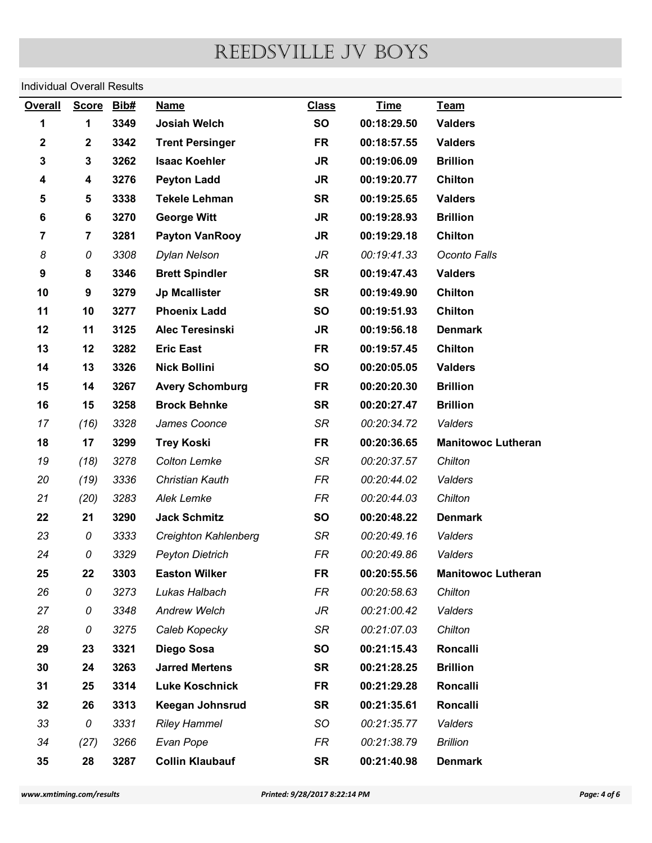# Individual Overall Results

| <b>Individual Overall Results</b><br><b>Overall</b><br>1 | <b>Score</b>   |              |                               |                               |                            |                           |              |
|----------------------------------------------------------|----------------|--------------|-------------------------------|-------------------------------|----------------------------|---------------------------|--------------|
|                                                          |                | Bib#         | <b>Name</b>                   | <b>Class</b>                  | <b>Time</b>                | Team                      |              |
|                                                          | $\mathbf 1$    | 3349         | <b>Josiah Welch</b>           | <b>SO</b>                     | 00:18:29.50                | <b>Valders</b>            |              |
| $\boldsymbol{2}$                                         | $\mathbf 2$    | 3342         | <b>Trent Persinger</b>        | <b>FR</b>                     | 00:18:57.55                | <b>Valders</b>            |              |
| 3                                                        | 3              | 3262         | <b>Isaac Koehler</b>          | <b>JR</b>                     | 00:19:06.09                | <b>Brillion</b>           |              |
| 4                                                        | 4              | 3276         | <b>Peyton Ladd</b>            | <b>JR</b>                     | 00:19:20.77                | Chilton                   |              |
| 5                                                        | 5              | 3338         | <b>Tekele Lehman</b>          | <b>SR</b>                     | 00:19:25.65                | <b>Valders</b>            |              |
| 6                                                        | 6              | 3270         | <b>George Witt</b>            | <b>JR</b>                     | 00:19:28.93                | <b>Brillion</b>           |              |
| $\overline{7}$                                           | $\overline{7}$ | 3281         | <b>Payton VanRooy</b>         | <b>JR</b>                     | 00:19:29.18                | <b>Chilton</b>            |              |
| 8                                                        | 0              | 3308         | Dylan Nelson                  | JR                            | 00:19:41.33                | Oconto Falls              |              |
| 9                                                        | 8              | 3346         | <b>Brett Spindler</b>         | <b>SR</b>                     | 00:19:47.43                | <b>Valders</b>            |              |
| 10                                                       | 9              | 3279         | <b>Jp Mcallister</b>          | <b>SR</b>                     | 00:19:49.90                | Chilton                   |              |
| 11                                                       | 10             | 3277         | <b>Phoenix Ladd</b>           | <b>SO</b>                     | 00:19:51.93                | <b>Chilton</b>            |              |
| 12                                                       | 11             | 3125         | <b>Alec Teresinski</b>        | <b>JR</b>                     | 00:19:56.18                | <b>Denmark</b>            |              |
| 13                                                       | 12             | 3282         | <b>Eric East</b>              | <b>FR</b>                     | 00:19:57.45                | Chilton                   |              |
| 14                                                       | 13             | 3326         | <b>Nick Bollini</b>           | <b>SO</b>                     | 00:20:05.05                | <b>Valders</b>            |              |
| 15                                                       | 14             | 3267         | <b>Avery Schomburg</b>        | <b>FR</b>                     | 00:20:20.30                | <b>Brillion</b>           |              |
| 16                                                       | 15             | 3258         | <b>Brock Behnke</b>           | <b>SR</b>                     | 00:20:27.47                | <b>Brillion</b>           |              |
| 17                                                       | (16)           | 3328         | James Coonce                  | SR                            | 00:20:34.72                | Valders                   |              |
| 18                                                       | 17             | 3299         | <b>Trey Koski</b>             | <b>FR</b>                     | 00:20:36.65                | <b>Manitowoc Lutheran</b> |              |
| 19                                                       | (18)           | 3278         | <b>Colton Lemke</b>           | SR                            | 00:20:37.57                | Chilton                   |              |
| 20                                                       | (19)           | 3336         | Christian Kauth               | FR                            | 00:20:44.02                | Valders                   |              |
| 21                                                       | (20)           | 3283         | Alek Lemke                    | FR                            | 00:20:44.03                | Chilton                   |              |
| 22                                                       | 21             | 3290         | <b>Jack Schmitz</b>           | <b>SO</b>                     | 00:20:48.22                | <b>Denmark</b>            |              |
| 23                                                       | 0              | 3333         | Creighton Kahlenberg          | SR                            | 00:20:49.16                | Valders                   |              |
| 24                                                       | 0              | 3329         | <b>Peyton Dietrich</b>        | FR                            | 00:20:49.86                | Valders                   |              |
| 25                                                       | 22             | 3303         | <b>Easton Wilker</b>          | <b>FR</b>                     | 00:20:55.56                | <b>Manitowoc Lutheran</b> |              |
| 26<br>27                                                 | 0<br>0         | 3273<br>3348 | Lukas Halbach<br>Andrew Welch | FR<br>JR                      | 00:20:58.63<br>00:21:00.42 | Chilton<br>Valders        |              |
| 28                                                       | 0              | 3275         | Caleb Kopecky                 | SR                            | 00:21:07.03                | Chilton                   |              |
| 29                                                       | 23             | 3321         | Diego Sosa                    | <b>SO</b>                     | 00:21:15.43                | Roncalli                  |              |
| 30                                                       | 24             | 3263         | <b>Jarred Mertens</b>         | <b>SR</b>                     | 00:21:28.25                | <b>Brillion</b>           |              |
| 31                                                       | 25             | 3314         | <b>Luke Koschnick</b>         | <b>FR</b>                     | 00:21:29.28                | Roncalli                  |              |
| 32                                                       | 26             | 3313         | Keegan Johnsrud               | <b>SR</b>                     | 00:21:35.61                | Roncalli                  |              |
| 33                                                       | 0              | 3331         | <b>Riley Hammel</b>           | SO                            | 00:21:35.77                | Valders                   |              |
| 34                                                       | (27)           | 3266         | Evan Pope                     | FR                            | 00:21:38.79                | <b>Brillion</b>           |              |
| 35                                                       | 28             | 3287         | <b>Collin Klaubauf</b>        | <b>SR</b>                     | 00:21:40.98                | <b>Denmark</b>            |              |
| www.xmtiming.com/results                                 |                |              |                               | Printed: 9/28/2017 8:22:14 PM |                            |                           | Page: 4 of 6 |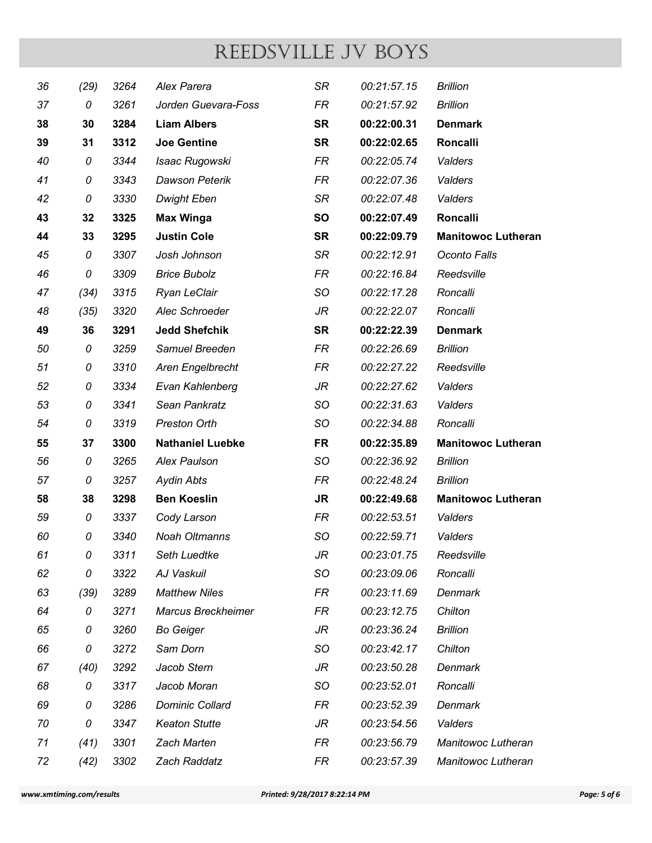| REEDSVILLE JV BOYS<br><b>SR</b><br>(29)<br>3264<br>Alex Parera<br>00:21:57.15<br><b>Brillion</b><br>36<br>3261<br>Jorden Guevara-Foss<br>FR<br>00:21:57.92<br><b>Brillion</b><br>37<br>0<br>3284<br><b>Liam Albers</b><br><b>SR</b><br>00:22:00.31<br><b>Denmark</b><br>38<br>30<br>3312<br><b>Joe Gentine</b><br><b>SR</b><br>00:22:02.65<br><b>Roncalli</b><br>39<br>31<br><b>FR</b><br>3344<br>00:22:05.74<br>0<br>Isaac Rugowski<br>Valders<br>40<br><b>FR</b><br>0<br>3343<br><b>Dawson Peterik</b><br>00:22:07.36<br>Valders<br>41<br><b>SR</b><br>3330<br><b>Dwight Eben</b><br>00:22:07.48<br>Valders<br>42<br>0<br><b>Roncalli</b><br>32<br>3325<br><b>Max Winga</b><br><b>SO</b><br>00:22:07.49<br>43<br><b>SR</b><br>3295<br><b>Justin Cole</b><br>00:22:09.79<br>33<br><b>Manitowoc Lutheran</b><br>44<br>SR<br>00:22:12.91<br>0<br>3307<br>Josh Johnson<br>Oconto Falls<br>45<br>0<br>3309<br><b>Brice Bubolz</b><br><b>FR</b><br>00:22:16.84<br>46<br>Reedsville<br>Ryan LeClair<br><b>SO</b><br>00:22:17.28<br>(34)<br>3315<br>Roncalli<br>47<br>JR<br>3320<br>00:22:22.07<br>Roncalli<br>(35)<br>Alec Schroeder<br>48<br><b>SR</b><br>36<br>3291<br><b>Jedd Shefchik</b><br>00:22:22.39<br><b>Denmark</b><br>49<br>3259<br>Samuel Breeden<br>FR<br>50<br>0<br>00:22:26.69<br><b>Brillion</b><br>FR<br>3310<br>Aren Engelbrecht<br>00:22:27.22<br>51<br>0<br>Reedsville<br>3334<br>JR<br>0<br>Evan Kahlenberg<br>00:22:27.62<br>52<br>Valders<br>SO<br>3341<br>Sean Pankratz<br>00:22:31.63<br>53<br>0<br>Valders<br>3319<br>Preston Orth<br>SO<br>0<br>00:22:34.88<br>Roncalli<br>54<br>37<br>3300<br><b>Nathaniel Luebke</b><br><b>FR</b><br>00:22:35.89<br><b>Manitowoc Lutheran</b><br>55<br>SO<br>56<br>0<br>3265<br><b>Alex Paulson</b><br>00:22:36.92<br><b>Brillion</b><br><b>FR</b><br>3257<br>00:22:48.24<br><b>Brillion</b><br>57<br>0<br>Aydin Abts<br><b>JR</b><br>38<br>3298<br><b>Ben Koeslin</b><br>00:22:49.68<br><b>Manitowoc Lutheran</b><br>58<br>FR<br>59<br>0<br>3337<br>Cody Larson<br>00:22:53.51<br>Valders |              |
|-----------------------------------------------------------------------------------------------------------------------------------------------------------------------------------------------------------------------------------------------------------------------------------------------------------------------------------------------------------------------------------------------------------------------------------------------------------------------------------------------------------------------------------------------------------------------------------------------------------------------------------------------------------------------------------------------------------------------------------------------------------------------------------------------------------------------------------------------------------------------------------------------------------------------------------------------------------------------------------------------------------------------------------------------------------------------------------------------------------------------------------------------------------------------------------------------------------------------------------------------------------------------------------------------------------------------------------------------------------------------------------------------------------------------------------------------------------------------------------------------------------------------------------------------------------------------------------------------------------------------------------------------------------------------------------------------------------------------------------------------------------------------------------------------------------------------------------------------------------------------------------------------------------------------------------------------------------------------------------------------------------------------------------------------------|--------------|
|                                                                                                                                                                                                                                                                                                                                                                                                                                                                                                                                                                                                                                                                                                                                                                                                                                                                                                                                                                                                                                                                                                                                                                                                                                                                                                                                                                                                                                                                                                                                                                                                                                                                                                                                                                                                                                                                                                                                                                                                                                                     |              |
|                                                                                                                                                                                                                                                                                                                                                                                                                                                                                                                                                                                                                                                                                                                                                                                                                                                                                                                                                                                                                                                                                                                                                                                                                                                                                                                                                                                                                                                                                                                                                                                                                                                                                                                                                                                                                                                                                                                                                                                                                                                     |              |
|                                                                                                                                                                                                                                                                                                                                                                                                                                                                                                                                                                                                                                                                                                                                                                                                                                                                                                                                                                                                                                                                                                                                                                                                                                                                                                                                                                                                                                                                                                                                                                                                                                                                                                                                                                                                                                                                                                                                                                                                                                                     |              |
|                                                                                                                                                                                                                                                                                                                                                                                                                                                                                                                                                                                                                                                                                                                                                                                                                                                                                                                                                                                                                                                                                                                                                                                                                                                                                                                                                                                                                                                                                                                                                                                                                                                                                                                                                                                                                                                                                                                                                                                                                                                     |              |
|                                                                                                                                                                                                                                                                                                                                                                                                                                                                                                                                                                                                                                                                                                                                                                                                                                                                                                                                                                                                                                                                                                                                                                                                                                                                                                                                                                                                                                                                                                                                                                                                                                                                                                                                                                                                                                                                                                                                                                                                                                                     |              |
|                                                                                                                                                                                                                                                                                                                                                                                                                                                                                                                                                                                                                                                                                                                                                                                                                                                                                                                                                                                                                                                                                                                                                                                                                                                                                                                                                                                                                                                                                                                                                                                                                                                                                                                                                                                                                                                                                                                                                                                                                                                     |              |
|                                                                                                                                                                                                                                                                                                                                                                                                                                                                                                                                                                                                                                                                                                                                                                                                                                                                                                                                                                                                                                                                                                                                                                                                                                                                                                                                                                                                                                                                                                                                                                                                                                                                                                                                                                                                                                                                                                                                                                                                                                                     |              |
|                                                                                                                                                                                                                                                                                                                                                                                                                                                                                                                                                                                                                                                                                                                                                                                                                                                                                                                                                                                                                                                                                                                                                                                                                                                                                                                                                                                                                                                                                                                                                                                                                                                                                                                                                                                                                                                                                                                                                                                                                                                     |              |
|                                                                                                                                                                                                                                                                                                                                                                                                                                                                                                                                                                                                                                                                                                                                                                                                                                                                                                                                                                                                                                                                                                                                                                                                                                                                                                                                                                                                                                                                                                                                                                                                                                                                                                                                                                                                                                                                                                                                                                                                                                                     |              |
|                                                                                                                                                                                                                                                                                                                                                                                                                                                                                                                                                                                                                                                                                                                                                                                                                                                                                                                                                                                                                                                                                                                                                                                                                                                                                                                                                                                                                                                                                                                                                                                                                                                                                                                                                                                                                                                                                                                                                                                                                                                     |              |
|                                                                                                                                                                                                                                                                                                                                                                                                                                                                                                                                                                                                                                                                                                                                                                                                                                                                                                                                                                                                                                                                                                                                                                                                                                                                                                                                                                                                                                                                                                                                                                                                                                                                                                                                                                                                                                                                                                                                                                                                                                                     |              |
|                                                                                                                                                                                                                                                                                                                                                                                                                                                                                                                                                                                                                                                                                                                                                                                                                                                                                                                                                                                                                                                                                                                                                                                                                                                                                                                                                                                                                                                                                                                                                                                                                                                                                                                                                                                                                                                                                                                                                                                                                                                     |              |
|                                                                                                                                                                                                                                                                                                                                                                                                                                                                                                                                                                                                                                                                                                                                                                                                                                                                                                                                                                                                                                                                                                                                                                                                                                                                                                                                                                                                                                                                                                                                                                                                                                                                                                                                                                                                                                                                                                                                                                                                                                                     |              |
|                                                                                                                                                                                                                                                                                                                                                                                                                                                                                                                                                                                                                                                                                                                                                                                                                                                                                                                                                                                                                                                                                                                                                                                                                                                                                                                                                                                                                                                                                                                                                                                                                                                                                                                                                                                                                                                                                                                                                                                                                                                     |              |
|                                                                                                                                                                                                                                                                                                                                                                                                                                                                                                                                                                                                                                                                                                                                                                                                                                                                                                                                                                                                                                                                                                                                                                                                                                                                                                                                                                                                                                                                                                                                                                                                                                                                                                                                                                                                                                                                                                                                                                                                                                                     |              |
|                                                                                                                                                                                                                                                                                                                                                                                                                                                                                                                                                                                                                                                                                                                                                                                                                                                                                                                                                                                                                                                                                                                                                                                                                                                                                                                                                                                                                                                                                                                                                                                                                                                                                                                                                                                                                                                                                                                                                                                                                                                     |              |
|                                                                                                                                                                                                                                                                                                                                                                                                                                                                                                                                                                                                                                                                                                                                                                                                                                                                                                                                                                                                                                                                                                                                                                                                                                                                                                                                                                                                                                                                                                                                                                                                                                                                                                                                                                                                                                                                                                                                                                                                                                                     |              |
|                                                                                                                                                                                                                                                                                                                                                                                                                                                                                                                                                                                                                                                                                                                                                                                                                                                                                                                                                                                                                                                                                                                                                                                                                                                                                                                                                                                                                                                                                                                                                                                                                                                                                                                                                                                                                                                                                                                                                                                                                                                     |              |
|                                                                                                                                                                                                                                                                                                                                                                                                                                                                                                                                                                                                                                                                                                                                                                                                                                                                                                                                                                                                                                                                                                                                                                                                                                                                                                                                                                                                                                                                                                                                                                                                                                                                                                                                                                                                                                                                                                                                                                                                                                                     |              |
|                                                                                                                                                                                                                                                                                                                                                                                                                                                                                                                                                                                                                                                                                                                                                                                                                                                                                                                                                                                                                                                                                                                                                                                                                                                                                                                                                                                                                                                                                                                                                                                                                                                                                                                                                                                                                                                                                                                                                                                                                                                     |              |
|                                                                                                                                                                                                                                                                                                                                                                                                                                                                                                                                                                                                                                                                                                                                                                                                                                                                                                                                                                                                                                                                                                                                                                                                                                                                                                                                                                                                                                                                                                                                                                                                                                                                                                                                                                                                                                                                                                                                                                                                                                                     |              |
|                                                                                                                                                                                                                                                                                                                                                                                                                                                                                                                                                                                                                                                                                                                                                                                                                                                                                                                                                                                                                                                                                                                                                                                                                                                                                                                                                                                                                                                                                                                                                                                                                                                                                                                                                                                                                                                                                                                                                                                                                                                     |              |
|                                                                                                                                                                                                                                                                                                                                                                                                                                                                                                                                                                                                                                                                                                                                                                                                                                                                                                                                                                                                                                                                                                                                                                                                                                                                                                                                                                                                                                                                                                                                                                                                                                                                                                                                                                                                                                                                                                                                                                                                                                                     |              |
|                                                                                                                                                                                                                                                                                                                                                                                                                                                                                                                                                                                                                                                                                                                                                                                                                                                                                                                                                                                                                                                                                                                                                                                                                                                                                                                                                                                                                                                                                                                                                                                                                                                                                                                                                                                                                                                                                                                                                                                                                                                     |              |
|                                                                                                                                                                                                                                                                                                                                                                                                                                                                                                                                                                                                                                                                                                                                                                                                                                                                                                                                                                                                                                                                                                                                                                                                                                                                                                                                                                                                                                                                                                                                                                                                                                                                                                                                                                                                                                                                                                                                                                                                                                                     |              |
| SO                                                                                                                                                                                                                                                                                                                                                                                                                                                                                                                                                                                                                                                                                                                                                                                                                                                                                                                                                                                                                                                                                                                                                                                                                                                                                                                                                                                                                                                                                                                                                                                                                                                                                                                                                                                                                                                                                                                                                                                                                                                  |              |
| 3340<br>00:22:59.71<br>0<br><b>Noah Oltmanns</b><br>Valders<br>60<br>JR<br>3311<br>Seth Luedtke                                                                                                                                                                                                                                                                                                                                                                                                                                                                                                                                                                                                                                                                                                                                                                                                                                                                                                                                                                                                                                                                                                                                                                                                                                                                                                                                                                                                                                                                                                                                                                                                                                                                                                                                                                                                                                                                                                                                                     |              |
| 0<br>00:23:01.75<br>Reedsville<br>61<br>0<br>3322<br>AJ Vaskuil<br>SO<br>00:23:09.06<br>Roncalli<br>62                                                                                                                                                                                                                                                                                                                                                                                                                                                                                                                                                                                                                                                                                                                                                                                                                                                                                                                                                                                                                                                                                                                                                                                                                                                                                                                                                                                                                                                                                                                                                                                                                                                                                                                                                                                                                                                                                                                                              |              |
| <b>Matthew Niles</b><br>FR<br>00:23:11.69<br>Denmark<br>(39)<br>3289<br>63                                                                                                                                                                                                                                                                                                                                                                                                                                                                                                                                                                                                                                                                                                                                                                                                                                                                                                                                                                                                                                                                                                                                                                                                                                                                                                                                                                                                                                                                                                                                                                                                                                                                                                                                                                                                                                                                                                                                                                          |              |
| FR<br>3271<br>Marcus Breckheimer<br>00:23:12.75<br>64<br>0<br>Chilton                                                                                                                                                                                                                                                                                                                                                                                                                                                                                                                                                                                                                                                                                                                                                                                                                                                                                                                                                                                                                                                                                                                                                                                                                                                                                                                                                                                                                                                                                                                                                                                                                                                                                                                                                                                                                                                                                                                                                                               |              |
| JR<br>3260<br><b>Bo Geiger</b><br>00:23:36.24<br>65<br>0<br><b>Brillion</b>                                                                                                                                                                                                                                                                                                                                                                                                                                                                                                                                                                                                                                                                                                                                                                                                                                                                                                                                                                                                                                                                                                                                                                                                                                                                                                                                                                                                                                                                                                                                                                                                                                                                                                                                                                                                                                                                                                                                                                         |              |
| 3272<br>Sam Dorn<br>SO<br>00:23:42.17<br>Chilton<br>0<br>66                                                                                                                                                                                                                                                                                                                                                                                                                                                                                                                                                                                                                                                                                                                                                                                                                                                                                                                                                                                                                                                                                                                                                                                                                                                                                                                                                                                                                                                                                                                                                                                                                                                                                                                                                                                                                                                                                                                                                                                         |              |
| 3292<br>Jacob Stern<br>JR<br>(40)<br>00:23:50.28<br>Denmark<br>67                                                                                                                                                                                                                                                                                                                                                                                                                                                                                                                                                                                                                                                                                                                                                                                                                                                                                                                                                                                                                                                                                                                                                                                                                                                                                                                                                                                                                                                                                                                                                                                                                                                                                                                                                                                                                                                                                                                                                                                   |              |
| 3317<br>Jacob Moran<br>SO<br>00:23:52.01<br>0<br>Roncalli<br>68                                                                                                                                                                                                                                                                                                                                                                                                                                                                                                                                                                                                                                                                                                                                                                                                                                                                                                                                                                                                                                                                                                                                                                                                                                                                                                                                                                                                                                                                                                                                                                                                                                                                                                                                                                                                                                                                                                                                                                                     |              |
| 3286<br>Dominic Collard<br>FR<br>69<br>0<br>00:23:52.39<br>Denmark                                                                                                                                                                                                                                                                                                                                                                                                                                                                                                                                                                                                                                                                                                                                                                                                                                                                                                                                                                                                                                                                                                                                                                                                                                                                                                                                                                                                                                                                                                                                                                                                                                                                                                                                                                                                                                                                                                                                                                                  |              |
| <b>Keaton Stutte</b><br>JR<br>00:23:54.56<br>0<br>3347<br>Valders<br>70                                                                                                                                                                                                                                                                                                                                                                                                                                                                                                                                                                                                                                                                                                                                                                                                                                                                                                                                                                                                                                                                                                                                                                                                                                                                                                                                                                                                                                                                                                                                                                                                                                                                                                                                                                                                                                                                                                                                                                             |              |
| Zach Marten<br>FR<br>(41)<br>3301<br>00:23:56.79<br>Manitowoc Lutheran<br>71                                                                                                                                                                                                                                                                                                                                                                                                                                                                                                                                                                                                                                                                                                                                                                                                                                                                                                                                                                                                                                                                                                                                                                                                                                                                                                                                                                                                                                                                                                                                                                                                                                                                                                                                                                                                                                                                                                                                                                        |              |
| <b>FR</b><br>00:23:57.39<br>(42)<br>3302<br>Zach Raddatz<br>72<br>Manitowoc Lutheran                                                                                                                                                                                                                                                                                                                                                                                                                                                                                                                                                                                                                                                                                                                                                                                                                                                                                                                                                                                                                                                                                                                                                                                                                                                                                                                                                                                                                                                                                                                                                                                                                                                                                                                                                                                                                                                                                                                                                                |              |
| w.xmtiming.com/results<br>Printed: 9/28/2017 8:22:14 PM                                                                                                                                                                                                                                                                                                                                                                                                                                                                                                                                                                                                                                                                                                                                                                                                                                                                                                                                                                                                                                                                                                                                                                                                                                                                                                                                                                                                                                                                                                                                                                                                                                                                                                                                                                                                                                                                                                                                                                                             | Page: 5 of 6 |